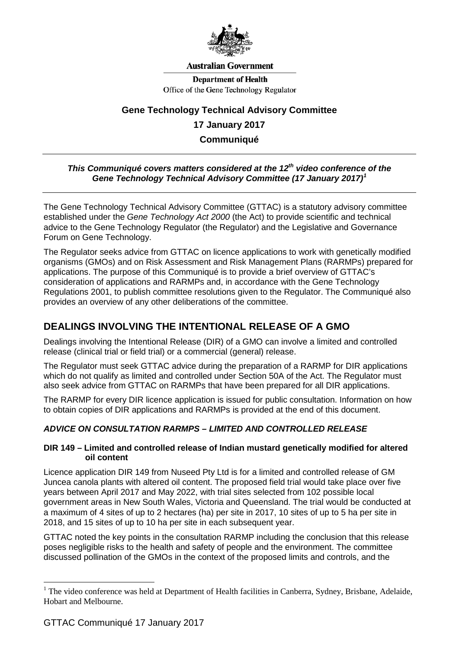

#### **Australian Government**

**Department of Health** Office of the Gene Technology Regulator

# **Gene Technology Technical Advisory Committee**

### **17 January 2017**

**Communiqué**

### *This Communiqué covers matters considered at the 12<sup>th</sup> video conference of the Gene Technology Technical Advisory Committee (17 January 2017) [1](#page-0-0)*

The Gene Technology Technical Advisory Committee (GTTAC) is a statutory advisory committee established under the *Gene Technology Act 2000* (the Act) to provide scientific and technical advice to the Gene Technology Regulator (the Regulator) and the Legislative and Governance Forum on Gene Technology.

The Regulator seeks advice from GTTAC on licence applications to work with genetically modified organisms (GMOs) and on Risk Assessment and Risk Management Plans (RARMPs) prepared for applications. The purpose of this Communiqué is to provide a brief overview of GTTAC's consideration of applications and RARMPs and, in accordance with the Gene Technology Regulations 2001, to publish committee resolutions given to the Regulator. The Communiqué also provides an overview of any other deliberations of the committee.

# **DEALINGS INVOLVING THE INTENTIONAL RELEASE OF A GMO**

Dealings involving the Intentional Release (DIR) of a GMO can involve a limited and controlled release (clinical trial or field trial) or a commercial (general) release.

The Regulator must seek GTTAC advice during the preparation of a RARMP for DIR applications which do not qualify as limited and controlled under Section 50A of the Act. The Regulator must also seek advice from GTTAC on RARMPs that have been prepared for all DIR applications.

The RARMP for every DIR licence application is issued for public consultation. Information on how to obtain copies of DIR applications and RARMPs is provided at the end of this document.

## *ADVICE ON CONSULTATION RARMPS – LIMITED AND CONTROLLED RELEASE*

#### **DIR 149 – Limited and controlled release of Indian mustard genetically modified for altered oil content**

Licence application DIR 149 from Nuseed Pty Ltd is for a limited and controlled release of GM Juncea canola plants with altered oil content. The proposed field trial would take place over five years between April 2017 and May 2022, with trial sites selected from 102 possible local government areas in New South Wales, Victoria and Queensland. The trial would be conducted at a maximum of 4 sites of up to 2 hectares (ha) per site in 2017, 10 sites of up to 5 ha per site in 2018, and 15 sites of up to 10 ha per site in each subsequent year.

GTTAC noted the key points in the consultation RARMP including the conclusion that this release poses negligible risks to the health and safety of people and the environment. The committee discussed pollination of the GMOs in the context of the proposed limits and controls, and the

<u>.</u>

<span id="page-0-0"></span><sup>&</sup>lt;sup>1</sup> The video conference was held at Department of Health facilities in Canberra, Sydney, Brisbane, Adelaide, Hobart and Melbourne.